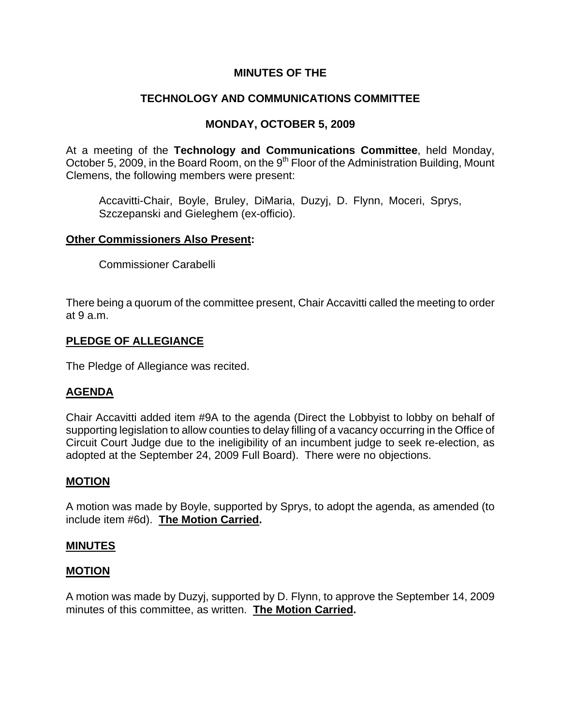# **MINUTES OF THE**

# **TECHNOLOGY AND COMMUNICATIONS COMMITTEE**

# **MONDAY, OCTOBER 5, 2009**

At a meeting of the **Technology and Communications Committee**, held Monday, October 5, 2009, in the Board Room, on the 9<sup>th</sup> Floor of the Administration Building, Mount Clemens, the following members were present:

Accavitti-Chair, Boyle, Bruley, DiMaria, Duzyj, D. Flynn, Moceri, Sprys, Szczepanski and Gieleghem (ex-officio).

### **Other Commissioners Also Present:**

Commissioner Carabelli

There being a quorum of the committee present, Chair Accavitti called the meeting to order at 9 a.m.

### **PLEDGE OF ALLEGIANCE**

The Pledge of Allegiance was recited.

## **AGENDA**

Chair Accavitti added item #9A to the agenda (Direct the Lobbyist to lobby on behalf of supporting legislation to allow counties to delay filling of a vacancy occurring in the Office of Circuit Court Judge due to the ineligibility of an incumbent judge to seek re-election, as adopted at the September 24, 2009 Full Board). There were no objections.

## **MOTION**

A motion was made by Boyle, supported by Sprys, to adopt the agenda, as amended (to include item #6d). **The Motion Carried.** 

## **MINUTES**

## **MOTION**

A motion was made by Duzyj, supported by D. Flynn, to approve the September 14, 2009 minutes of this committee, as written. **The Motion Carried.**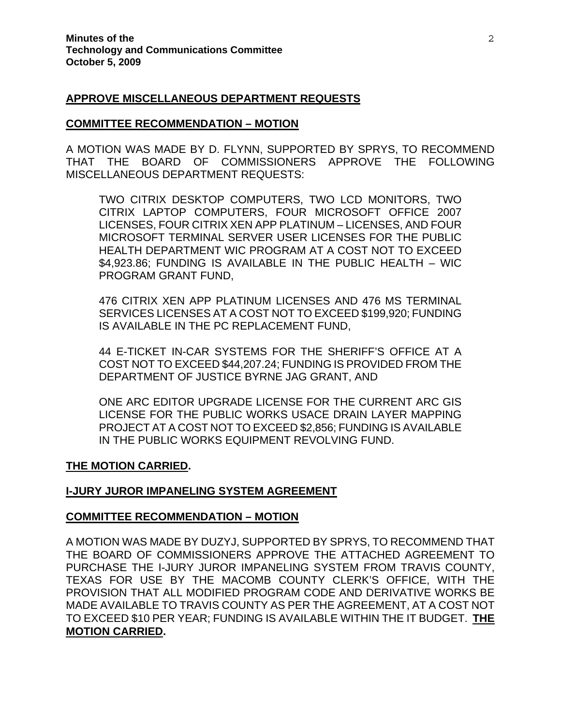#### **APPROVE MISCELLANEOUS DEPARTMENT REQUESTS**

#### **COMMITTEE RECOMMENDATION – MOTION**

A MOTION WAS MADE BY D. FLYNN, SUPPORTED BY SPRYS, TO RECOMMEND THAT THE BOARD OF COMMISSIONERS APPROVE THE FOLLOWING MISCELLANEOUS DEPARTMENT REQUESTS:

TWO CITRIX DESKTOP COMPUTERS, TWO LCD MONITORS, TWO CITRIX LAPTOP COMPUTERS, FOUR MICROSOFT OFFICE 2007 LICENSES, FOUR CITRIX XEN APP PLATINUM – LICENSES, AND FOUR MICROSOFT TERMINAL SERVER USER LICENSES FOR THE PUBLIC HEALTH DEPARTMENT WIC PROGRAM AT A COST NOT TO EXCEED \$4,923.86; FUNDING IS AVAILABLE IN THE PUBLIC HEALTH – WIC PROGRAM GRANT FUND,

476 CITRIX XEN APP PLATINUM LICENSES AND 476 MS TERMINAL SERVICES LICENSES AT A COST NOT TO EXCEED \$199,920; FUNDING IS AVAILABLE IN THE PC REPLACEMENT FUND,

44 E-TICKET IN-CAR SYSTEMS FOR THE SHERIFF'S OFFICE AT A COST NOT TO EXCEED \$44,207.24; FUNDING IS PROVIDED FROM THE DEPARTMENT OF JUSTICE BYRNE JAG GRANT, AND

ONE ARC EDITOR UPGRADE LICENSE FOR THE CURRENT ARC GIS LICENSE FOR THE PUBLIC WORKS USACE DRAIN LAYER MAPPING PROJECT AT A COST NOT TO EXCEED \$2,856; FUNDING IS AVAILABLE IN THE PUBLIC WORKS EQUIPMENT REVOLVING FUND.

#### **THE MOTION CARRIED.**

#### **I-JURY JUROR IMPANELING SYSTEM AGREEMENT**

#### **COMMITTEE RECOMMENDATION – MOTION**

A MOTION WAS MADE BY DUZYJ, SUPPORTED BY SPRYS, TO RECOMMEND THAT THE BOARD OF COMMISSIONERS APPROVE THE ATTACHED AGREEMENT TO PURCHASE THE I-JURY JUROR IMPANELING SYSTEM FROM TRAVIS COUNTY, TEXAS FOR USE BY THE MACOMB COUNTY CLERK'S OFFICE, WITH THE PROVISION THAT ALL MODIFIED PROGRAM CODE AND DERIVATIVE WORKS BE MADE AVAILABLE TO TRAVIS COUNTY AS PER THE AGREEMENT, AT A COST NOT TO EXCEED \$10 PER YEAR; FUNDING IS AVAILABLE WITHIN THE IT BUDGET. **THE MOTION CARRIED.**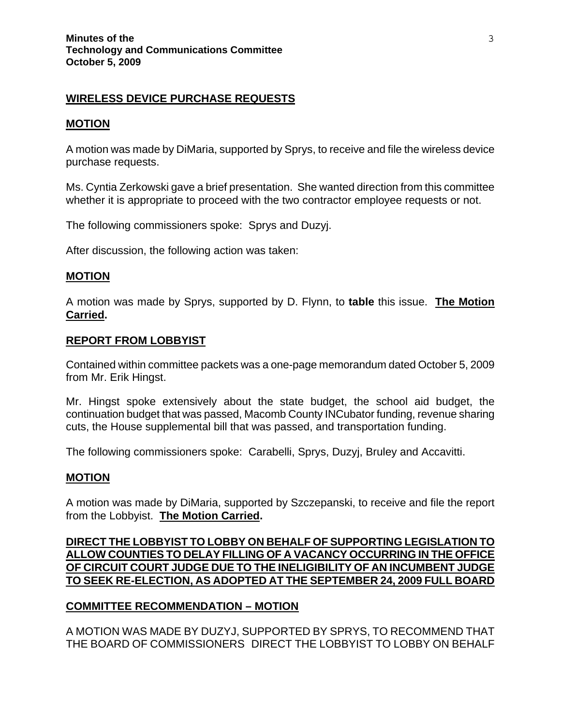## **WIRELESS DEVICE PURCHASE REQUESTS**

#### **MOTION**

A motion was made by DiMaria, supported by Sprys, to receive and file the wireless device purchase requests.

Ms. Cyntia Zerkowski gave a brief presentation. She wanted direction from this committee whether it is appropriate to proceed with the two contractor employee requests or not.

The following commissioners spoke: Sprys and Duzyj.

After discussion, the following action was taken:

### **MOTION**

A motion was made by Sprys, supported by D. Flynn, to **table** this issue. **The Motion Carried.** 

#### **REPORT FROM LOBBYIST**

Contained within committee packets was a one-page memorandum dated October 5, 2009 from Mr. Erik Hingst.

Mr. Hingst spoke extensively about the state budget, the school aid budget, the continuation budget that was passed, Macomb County INCubator funding, revenue sharing cuts, the House supplemental bill that was passed, and transportation funding.

The following commissioners spoke: Carabelli, Sprys, Duzyj, Bruley and Accavitti.

#### **MOTION**

A motion was made by DiMaria, supported by Szczepanski, to receive and file the report from the Lobbyist. **The Motion Carried.** 

## **DIRECT THE LOBBYIST TO LOBBY ON BEHALF OF SUPPORTING LEGISLATION TO ALLOW COUNTIES TO DELAY FILLING OF A VACANCY OCCURRING IN THE OFFICE OF CIRCUIT COURT JUDGE DUE TO THE INELIGIBILITY OF AN INCUMBENT JUDGE TO SEEK RE-ELECTION, AS ADOPTED AT THE SEPTEMBER 24, 2009 FULL BOARD**

## **COMMITTEE RECOMMENDATION – MOTION**

A MOTION WAS MADE BY DUZYJ, SUPPORTED BY SPRYS, TO RECOMMEND THAT THE BOARD OF COMMISSIONERS DIRECT THE LOBBYIST TO LOBBY ON BEHALF